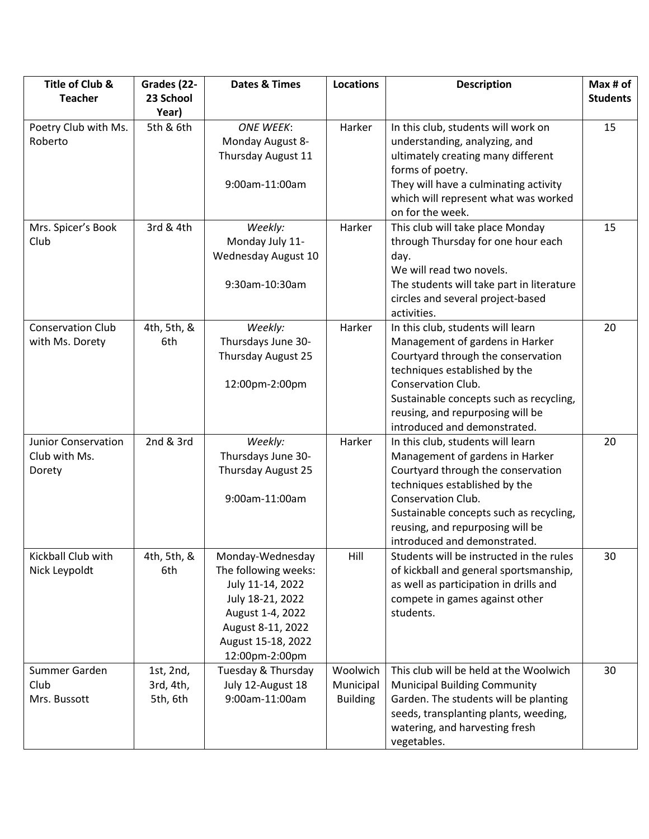| Title of Club &            | Grades (22- | <b>Dates &amp; Times</b> | <b>Locations</b> | <b>Description</b>                        | Max # of        |
|----------------------------|-------------|--------------------------|------------------|-------------------------------------------|-----------------|
| <b>Teacher</b>             | 23 School   |                          |                  |                                           | <b>Students</b> |
|                            | Year)       |                          |                  |                                           |                 |
| Poetry Club with Ms.       | 5th & 6th   | <b>ONE WEEK:</b>         | Harker           | In this club, students will work on       | 15              |
| Roberto                    |             | Monday August 8-         |                  | understanding, analyzing, and             |                 |
|                            |             | Thursday August 11       |                  | ultimately creating many different        |                 |
|                            |             |                          |                  | forms of poetry.                          |                 |
|                            |             | 9:00am-11:00am           |                  | They will have a culminating activity     |                 |
|                            |             |                          |                  | which will represent what was worked      |                 |
|                            |             |                          |                  | on for the week.                          |                 |
| Mrs. Spicer's Book         | 3rd & 4th   | Weekly:                  | Harker           | This club will take place Monday          | 15              |
| Club                       |             | Monday July 11-          |                  | through Thursday for one hour each        |                 |
|                            |             | Wednesday August 10      |                  | day.                                      |                 |
|                            |             |                          |                  | We will read two novels.                  |                 |
|                            |             | 9:30am-10:30am           |                  | The students will take part in literature |                 |
|                            |             |                          |                  | circles and several project-based         |                 |
|                            |             |                          |                  | activities.                               |                 |
| <b>Conservation Club</b>   | 4th, 5th, & | Weekly:                  | Harker           | In this club, students will learn         | 20              |
| with Ms. Dorety            | 6th         | Thursdays June 30-       |                  | Management of gardens in Harker           |                 |
|                            |             | Thursday August 25       |                  | Courtyard through the conservation        |                 |
|                            |             |                          |                  | techniques established by the             |                 |
|                            |             | 12:00pm-2:00pm           |                  | Conservation Club.                        |                 |
|                            |             |                          |                  | Sustainable concepts such as recycling,   |                 |
|                            |             |                          |                  | reusing, and repurposing will be          |                 |
|                            |             |                          |                  | introduced and demonstrated.              |                 |
| <b>Junior Conservation</b> | 2nd & 3rd   | Weekly:                  | Harker           | In this club, students will learn         | 20              |
| Club with Ms.              |             | Thursdays June 30-       |                  | Management of gardens in Harker           |                 |
| Dorety                     |             | Thursday August 25       |                  | Courtyard through the conservation        |                 |
|                            |             |                          |                  | techniques established by the             |                 |
|                            |             | 9:00am-11:00am           |                  | Conservation Club.                        |                 |
|                            |             |                          |                  | Sustainable concepts such as recycling,   |                 |
|                            |             |                          |                  | reusing, and repurposing will be          |                 |
|                            |             |                          |                  | introduced and demonstrated.              |                 |
| Kickball Club with         | 4th, 5th, & | Monday-Wednesday         | Hill             | Students will be instructed in the rules  | 30              |
| Nick Leypoldt              | 6th         | The following weeks:     |                  | of kickball and general sportsmanship,    |                 |
|                            |             | July 11-14, 2022         |                  | as well as participation in drills and    |                 |
|                            |             | July 18-21, 2022         |                  | compete in games against other            |                 |
|                            |             | August 1-4, 2022         |                  | students.                                 |                 |
|                            |             | August 8-11, 2022        |                  |                                           |                 |
|                            |             | August 15-18, 2022       |                  |                                           |                 |
|                            |             | 12:00pm-2:00pm           |                  |                                           |                 |
| Summer Garden              | 1st, 2nd,   | Tuesday & Thursday       | Woolwich         | This club will be held at the Woolwich    | 30              |
| Club                       | 3rd, 4th,   | July 12-August 18        | Municipal        | <b>Municipal Building Community</b>       |                 |
| Mrs. Bussott               | 5th, 6th    | 9:00am-11:00am           | <b>Building</b>  | Garden. The students will be planting     |                 |
|                            |             |                          |                  | seeds, transplanting plants, weeding,     |                 |
|                            |             |                          |                  | watering, and harvesting fresh            |                 |
|                            |             |                          |                  | vegetables.                               |                 |